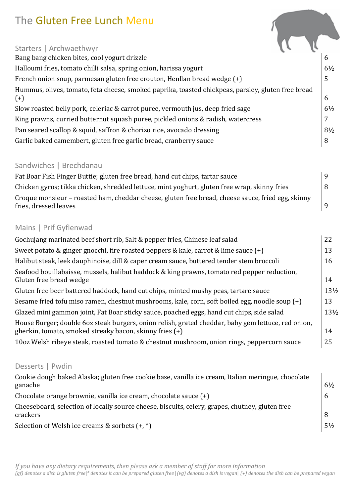# The Gluten Free Lunch Menu

| Starters   Archwaethwyr                                                                            |                |
|----------------------------------------------------------------------------------------------------|----------------|
| Bang bang chicken bites, cool yogurt drizzle                                                       | $\mathfrak b$  |
| Halloumi fries, tomato chilli salsa, spring onion, harissa yogurt                                  | $6\frac{1}{2}$ |
| French onion soup, parmesan gluten free crouton, Henllan bread wedge (+)                           | 5              |
| Hummus, olives, tomato, feta cheese, smoked paprika, toasted chickpeas, parsley, gluten free bread |                |
| $(+)$                                                                                              | 6              |
| Slow roasted belly pork, celeriac & carrot puree, vermouth jus, deep fried sage                    | $6\frac{1}{2}$ |
| King prawns, curried butternut squash puree, pickled onions & radish, watercress                   | 7              |
| Pan seared scallop & squid, saffron & chorizo rice, avocado dressing                               | $8\frac{1}{2}$ |
| Garlic baked camembert, gluten free garlic bread, cranberry sauce                                  | 8              |
|                                                                                                    |                |

**Contract Contract** 

# Sandwiches | Brechdanau

| Fat Boar Fish Finger Buttie; gluten free bread, hand cut chips, tartar sauce                                               |   |  |
|----------------------------------------------------------------------------------------------------------------------------|---|--|
| Chicken gyros; tikka chicken, shredded lettuce, mint yoghurt, gluten free wrap, skinny fries                               | 8 |  |
| Croque monsieur – roasted ham, cheddar cheese, gluten free bread, cheese sauce, fried egg, skinny<br>fries, dressed leaves |   |  |

# Mains | Prif Gyflenwad

| Gochujang marinated beef short rib, Salt & pepper fries, Chinese leaf salad                                                                                   | 22              |  |  |
|---------------------------------------------------------------------------------------------------------------------------------------------------------------|-----------------|--|--|
| Sweet potato & ginger gnocchi, fire roasted peppers & kale, carrot & lime sauce (+)                                                                           |                 |  |  |
| Halibut steak, leek dauphinoise, dill & caper cream sauce, buttered tender stem broccoli                                                                      | 16              |  |  |
| Seafood bouillabaisse, mussels, halibut haddock & king prawns, tomato red pepper reduction,<br>Gluten free bread wedge                                        | 14              |  |  |
| Gluten free beer battered haddock, hand cut chips, minted mushy peas, tartare sauce                                                                           | $13\frac{1}{2}$ |  |  |
| Sesame fried tofu miso ramen, chestnut mushrooms, kale, corn, soft boiled egg, noodle soup (+)                                                                | 13              |  |  |
| Glazed mini gammon joint, Fat Boar sticky sauce, poached eggs, hand cut chips, side salad                                                                     | $13\frac{1}{2}$ |  |  |
| House Burger; double 60z steak burgers, onion relish, grated cheddar, baby gem lettuce, red onion,<br>gherkin, tomato, smoked streaky bacon, skinny fries (+) | 14              |  |  |
| 10oz Welsh ribeye steak, roasted tomato & chestnut mushroom, onion rings, peppercorn sauce                                                                    | 25              |  |  |

# Desserts | Pwdin

| Cookie dough baked Alaska; gluten free cookie base, vanilla ice cream, Italian meringue, chocolate |                |
|----------------------------------------------------------------------------------------------------|----------------|
| ganache                                                                                            | $6\frac{1}{2}$ |
| Chocolate orange brownie, vanilla ice cream, chocolate sauce $(+)$                                 | 6              |
| Cheeseboard, selection of locally source cheese, biscuits, celery, grapes, chutney, gluten free    |                |
| crackers                                                                                           | -8             |
| Selection of Welsh ice creams & sorbets $(+,*)$                                                    | $5\frac{1}{2}$ |